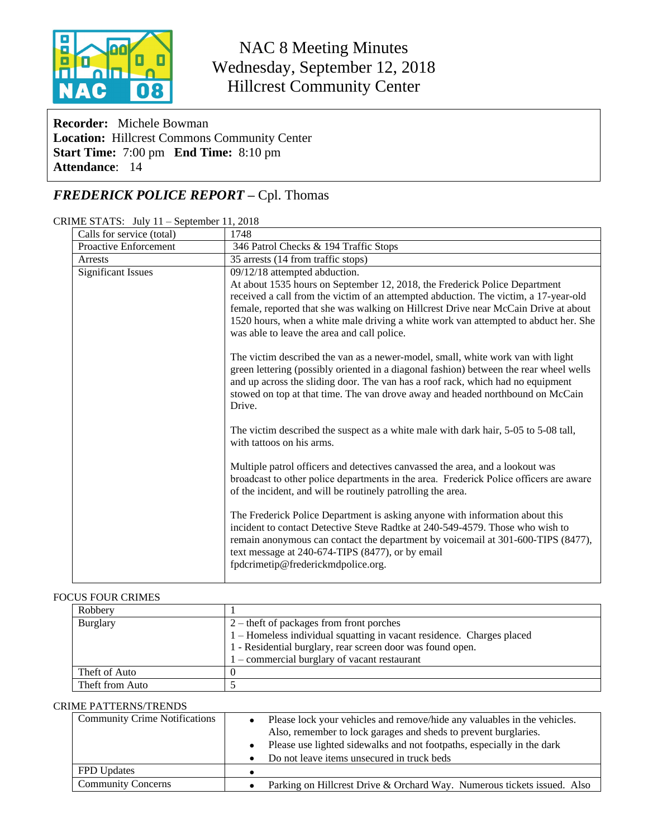

# NAC 8 Meeting Minutes Wednesday, September 12, 2018 Hillcrest Community Center

**Recorder:** Michele Bowman **Location:** Hillcrest Commons Community Center **Start Time:** 7:00 pm **End Time:** 8:10 pm **Attendance**: 14

## *FREDERICK POLICE REPORT –* Cpl. Thomas

| CRIME STATS: July 11 - September 11, 2018 |
|-------------------------------------------|
|                                           |

| Calls for service (total) | 1748                                                                                                                                                                                                                                                                                                                                                                                                                             |  |
|---------------------------|----------------------------------------------------------------------------------------------------------------------------------------------------------------------------------------------------------------------------------------------------------------------------------------------------------------------------------------------------------------------------------------------------------------------------------|--|
| Proactive Enforcement     | 346 Patrol Checks & 194 Traffic Stops                                                                                                                                                                                                                                                                                                                                                                                            |  |
| Arrests                   | 35 arrests (14 from traffic stops)                                                                                                                                                                                                                                                                                                                                                                                               |  |
| <b>Significant Issues</b> | 09/12/18 attempted abduction.<br>At about 1535 hours on September 12, 2018, the Frederick Police Department<br>received a call from the victim of an attempted abduction. The victim, a 17-year-old<br>female, reported that she was walking on Hillcrest Drive near McCain Drive at about<br>1520 hours, when a white male driving a white work van attempted to abduct her. She<br>was able to leave the area and call police. |  |
|                           | The victim described the van as a newer-model, small, white work van with light<br>green lettering (possibly oriented in a diagonal fashion) between the rear wheel wells<br>and up across the sliding door. The van has a roof rack, which had no equipment<br>stowed on top at that time. The van drove away and headed northbound on McCain<br>Drive.                                                                         |  |
|                           | The victim described the suspect as a white male with dark hair, 5-05 to 5-08 tall,<br>with tattoos on his arms.                                                                                                                                                                                                                                                                                                                 |  |
|                           | Multiple patrol officers and detectives canvassed the area, and a lookout was<br>broadcast to other police departments in the area. Frederick Police officers are aware<br>of the incident, and will be routinely patrolling the area.                                                                                                                                                                                           |  |
|                           | The Frederick Police Department is asking anyone with information about this<br>incident to contact Detective Steve Radtke at 240-549-4579. Those who wish to<br>remain anonymous can contact the department by voicemail at 301-600-TIPS (8477),<br>text message at 240-674-TIPS (8477), or by email<br>fpdcrimetip@frederickmdpolice.org.                                                                                      |  |

#### FOCUS FOUR CRIMES

| Robbery         |                                                                       |  |
|-----------------|-----------------------------------------------------------------------|--|
| <b>Burglary</b> | $2$ – theft of packages from front porches                            |  |
|                 | 1 – Homeless individual squatting in vacant residence. Charges placed |  |
|                 | 1 - Residential burglary, rear screen door was found open.            |  |
|                 | $1$ – commercial burglary of vacant restaurant                        |  |
| Theft of Auto   |                                                                       |  |
| Theft from Auto |                                                                       |  |

#### CRIME PATTERNS/TRENDS

| <b>Community Crime Notifications</b> | Please lock your vehicles and remove/hide any valuables in the vehicles.<br>Also, remember to lock garages and sheds to prevent burglaries.<br>Please use lighted sidewalks and not footpaths, especially in the dark<br>$\bullet$<br>Do not leave items unsecured in truck beds<br>$\bullet$ |
|--------------------------------------|-----------------------------------------------------------------------------------------------------------------------------------------------------------------------------------------------------------------------------------------------------------------------------------------------|
| <b>FPD</b> Updates                   |                                                                                                                                                                                                                                                                                               |
| <b>Community Concerns</b>            | Parking on Hillcrest Drive & Orchard Way. Numerous tickets issued. Also                                                                                                                                                                                                                       |